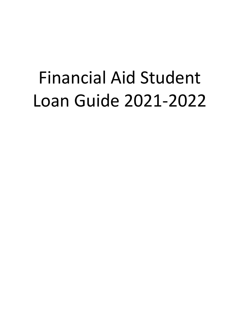# Financial Aid Student Loan Guide 2021-2022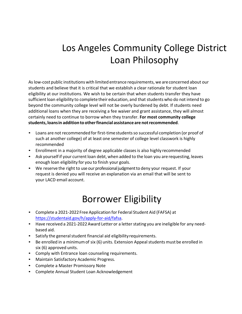## Los Angeles Community College District Loan Philosophy

Aslow-cost public institutions with limited entrance requirements, we areconcerned about our students and believe that it is critical that we establish a clear rationale for student loan eligibility at our institutions. We wish to be certain that when students transfer they have sufficient loan eligibility to complete their education, and that students who do not intend to go beyond the community college level will not be overly burdened by debt. If students need additional loans when they are receiving a fee waiver and grant assistance, they will almost certainly need to continue to borrow when they transfer. **For most community college students, loansin additionto otherfinancial assistance are notrecommended**.

- Loans are not recommended for first-time students so successful completion (or proof of such at another college) of at least one semester of college level classwork is highly recommended
- Enrollment in a majority of degree applicable classes is also highly recommended
- Ask yourself if your current loan debt, when added to the loan you are requesting, leaves enough loan eligibility for you to finish your goals.
- We reserve the right to use our professional judgment to deny your request. If your request is denied you will receive an explanation via an email that will be sent to your LACD email account.

### Borrower Eligibility

- Complete a 2021-2022Free Application for Federal Student Aid (FAFSA) at [https://studentaid.gov/h/apply-for-aid/fafsa.](http://www.fafsa.gov/)
- Have received a 2021-2022 Award Letter or a letter stating you are ineligible for any needbased aid.
- Satisfy the general student financial aid eligibility requirements.
- Be enrolled in a minimum of six (6) units. Extension Appeal students must be enrolled in six (6) approved units.
- Comply with Entrance loan counseling requirements.
- Maintain Satisfactory Academic Progress.
- Complete a Master Promissory Note
- Complete Annual Student Loan Acknowledgement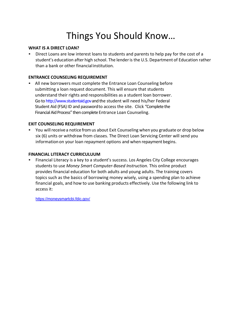### Things You Should Know…

#### **WHAT IS A DIRECT LOAN?**

• Direct Loans are low interest loans to students and parents to help pay for the cost of a student's education after high school. The lenderis the U.S. Department of Education rather than a bank or other financialinstitution.

#### **ENTRANCE COUNSELING REQUIREMENT**

• All new borrowers must complete the Entrance Loan Counseling before submitting a loan request document. This will ensure that students understand their rights and responsibilities as a student loan borrower. Go to [http://www.studentaid.gov a](http://www.studentaid.gov/)nd the student will need his/her Federal Student Aid (FSA) ID and passwordto access the site. Click "Complete the Financial Aid Process" then complete Entrance Loan Counseling.

#### **EXIT COUNSELING REQUIREMENT**

You will receive a notice from us about Exit Counseling when you graduate or drop below six (6) units or withdraw from classes. The Direct Loan Servicing Center will send you information on your loan repayment options and when repayment begins.

#### **FINANCIAL LITERACY CURRICULUUM**

• Financial Literacy is a key to a student's success. Los Angeles City College encourages students to use *Money Smart Computer-Based Instruction.* This online product provides financial education for both adults and young adults. The training covers topics such as the basics of borrowing money wisely, using a spending plan to achieve financial goals, and how to use banking products effectively. Use the following link to access it:

<https://moneysmartcbi.fdic.gov/>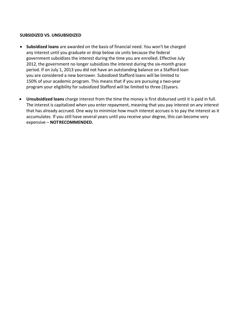#### **SUBSIDIZED VS. UNSUBSIDIZED**

- **Subsidized loans** are awarded on the basis of financial need. You won't be charged any interest until you graduate or drop below six units because the federal government subsidizes the interest during the time you are enrolled. Effective July 2012, the government no longer subsidizes the interest during the six-month grace period. If on July 1, 2013 you did not have an outstanding balance on a Stafford loan you are considered a new borrower. Subsidized Stafford loans will be limited to 150% of your academic program. This means that if you are pursuing a two-year program your eligibility for subsidized Stafford will be limited to three (3)years.
- **Unsubsidized loans** charge interest from the time the money is first disbursed until it is paid in full. The interest is capitalized when you enter repayment, meaning that you pay interest on any interest that has already accrued. One way to minimize how much interest accrues is to pay the interest as it accumulates. If you still have several years until you receive your degree, this can become very expensive – **NOTRECOMMENDED.**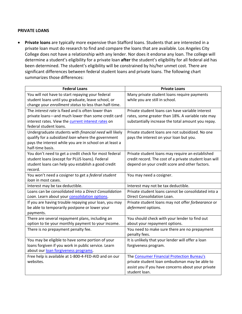#### **PRIVATE LOANS**

• **Private loans** are typically more expensive than Stafford loans. Students that are interested in a private loan must do research to find and compare the loans that are available. Los Angeles City College does not have a relationship with any lender. Nor does it endorse any loan. The college will determine a student's eligibility for a private loan **after** the student's eligibility for all federal aid has been determined. The student's eligibility will be constrained by his/her unmet cost. There are significant differences between federal student loans and private loans. The following chart summarizes those differences:

| <b>Federal Loans</b>                                    | <b>Private Loans</b>                                           |
|---------------------------------------------------------|----------------------------------------------------------------|
| You will not have to start repaying your federal        | Many private student loans require payments                    |
| student loans until you graduate, leave school, or      | while you are still in school.                                 |
| change your enrollment status to less than half-time.   |                                                                |
| The interest rate is fixed and is often lower than      | Private student loans can have variable interest               |
| private loans-and much lower than some credit card      | rates, some greater than 18%. A variable rate may              |
| interest rates. View the current interest rates on      | substantially increase the total amount you repay.             |
| federal student loans.                                  |                                                                |
| Undergraduate students with financial need will likely  | Private student loans are not subsidized. No one               |
| qualify for a subsidized loan where the government      | pays the interest on your loan but you.                        |
| pays the interest while you are in school on at least a |                                                                |
| half-time basis.                                        |                                                                |
| You don't need to get a credit check for most federal   | Private student loans may require an established               |
| student loans (except for PLUS loans). Federal          | credit record. The cost of a private student loan will         |
| student loans can help you establish a good credit      | depend on your credit score and other factors.                 |
| record.                                                 |                                                                |
| You won't need a cosigner to get a federal student      | You may need a cosigner.                                       |
| loan in most cases.                                     |                                                                |
| Interest may be tax deductible.                         | Interest may not be tax deductible.                            |
| Loans can be consolidated into a Direct Consolidation   | Private student loans cannot be consolidated into a            |
| Loan. Learn about your consolidation options.           | Direct Consolidation Loan.                                     |
| If you are having trouble repaying your loan, you may   | Private student loans may not offer forbearance or             |
| be able to temporarily postpone or lower your           | deferment options.                                             |
| payments.                                               |                                                                |
| There are several repayment plans, including an         | You should check with your lender to find out                  |
| option to tie your monthly payment to your income.      | about your repayment options.                                  |
| There is no prepayment penalty fee.                     | You need to make sure there are no prepayment<br>penalty fees. |
| You may be eligible to have some portion of your        | It is unlikely that your lender will offer a loan              |
| loans forgiven if you work in public service. Learn     | forgiveness program.                                           |
| about our loan forgiveness programs.                    |                                                                |
| Free help is available at 1-800-4-FED-AID and on our    | The Consumer Financial Protection Bureau's                     |
| websites.                                               | private student loan ombudsman may be able to                  |
|                                                         | assist you if you have concerns about your private             |
|                                                         | student loan.                                                  |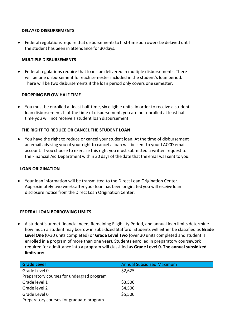#### **DELAYED DISBURSEMENTS**

• Federal regulations require that disbursements to first-time borrowers be delayed until the student has been in attendance for 30 days.

#### **MULTIPLE DISBURSEMENTS**

• Federal regulations require that loans be delivered in multiple disbursements. There will be one disbursement for each semester included in the student's loan period. There will be two disbursements if the loan period only covers one semester.

#### **DROPPING BELOW HALF TIME**

• You must be enrolled at least half-time, six eligible units, in order to receive a student loan disbursement. If at the time of disbursement, you are not enrolled at least halftime you will not receive a student loan disbursement.

#### **THE RIGHT TO REDUCE OR CANCEL THE STUDENT LOAN**

• You have the right to reduce or cancel your student loan. At the time of disbursement an email advising you of your right to cancel a loan will be sent to your LACCD email account. If you choose to exercise this right you must submitted a written request to the Financial Aid Department within 30 days of the date that the email wassent to you.

#### **LOAN ORIGINATION**

• Your loan information will be transmitted to the Direct Loan Origination Center. Approximately two weeksafter your loan has been originated you will receive loan disclosure notice fromthe Direct Loan Origination Center.

#### **FEDERAL LOAN BORROWING LIMITS**

• A student's unmet financial need, Remaining Eligibility Period, and annual loan limits determine how much a student may borrow in subsidized Stafford. Students will either be classified as **Grade Level One** (0-30 units completed) or **Grade Level Two** (over 30 units completed and student is enrolled in a program of more than one year). Students enrolled in preparatory coursework required for admittance into a program will classified as **Grade Level 0. The annual subsidized limits are:**

| <b>Grade Level</b>                        | <b>Annual Subsidized Maximum</b> |
|-------------------------------------------|----------------------------------|
| Grade Level 0                             | \$2,625                          |
| Preparatory courses for undergrad program |                                  |
| Grade level 1                             | \$3,500                          |
| Grade level 2                             | \$4,500                          |
| Grade Level 0                             | \$5,500                          |
| Preparatory courses for graduate program  |                                  |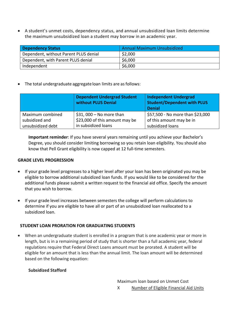• A student's unmet costs, dependency status, and annual unsubsidized loan limits determine the maximum unsubsidized loan a student may borrow in an academic year.

| <b>Dependency Status</b>              | Annual Maximum Unsubsidized |
|---------------------------------------|-----------------------------|
| Dependent, without Parent PLUS denial | \$2,000                     |
| Dependent, with Parent PLUS denial    | \$6,000                     |
| Independent                           | \$6,000                     |

• The total undergraduate aggregate loan limits are as follows:

|                                    | <b>Dependent Undergrad Student</b><br><b>without PLUS Denial</b> | <b>Independent Undergrad</b><br><b>Student/Dependent with PLUS</b><br><b>Denial</b> |
|------------------------------------|------------------------------------------------------------------|-------------------------------------------------------------------------------------|
| Maximum combined<br>subsidized and | $$31,000 - No$ more than<br>\$23,000 of this amount may be       | \$57,500 - No more than \$23,000<br>of this amount may be in                        |
| unsubsidized debt                  | in subsidized loans                                              | subsidized loans                                                                    |

**Important reminder**: If you have several years remaining until you achieve your Bachelor's Degree, you should consider limiting borrowing so you retain loan eligibility. You should also know that Pell Grant eligibility is now capped at 12 full-time semesters.

#### **GRADE LEVEL PROGRESSION**

- If your grade level progresses to a higher level after your loan has been originated you may be eligible to borrow additional subsidized loan funds. If you would like to be considered for the additional funds please submit a written request to the financial aid office. Specify the amount that you wish to borrow.
- If your grade level increases between semesters the college will perform calculations to determine if you are eligible to have all or part of an unsubsidized loan reallocated to a subsidized loan.

#### **STUDENT LOAN PRORATION FOR GRADUATING STUDENTS**

• When an undergraduate student is enrolled in a program that is one academic year or more in length, but is in a remaining period of study that is shorter than a full academic year, federal regulations require that Federal Direct Loans amount must be prorated. A student will be eligible for an amount that is less than the annual limit. The loan amount will be determined based on the following equation:

#### **Subsidized Stafford**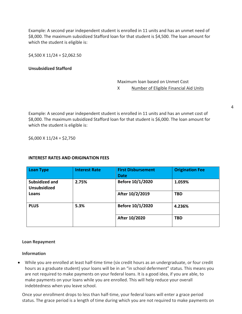Example: A second year independent student is enrolled in 11 units and has an unmet need of \$8,000. The maximum subsidized Stafford loan for that student is \$4,500. The loan amount for which the student is eligible is:

 $$4,500 \times 11/24 = $2,062.50$ 

#### **Unsubsidized Stafford**

Maximum loan based on Unmet Cost X Number of Eligible Financial Aid Units

Example: A second year independent student is enrolled in 11 units and has an unmet cost of \$8,000. The maximum subsidized Stafford loan for that student is \$6,000. The loan amount for which the student is eligible is:

 $$6,000 \times 11/24 = $2,750$ 

#### **INTEREST RATES AND ORIGINATION FEES**

| <b>Loan Type</b>                      | <b>Interest Rate</b> | <b>First Disbursement</b><br><b>Date</b> | <b>Origination Fee</b> |
|---------------------------------------|----------------------|------------------------------------------|------------------------|
| Subsidized and<br><b>Unsubsidized</b> | 2.75%                | Before 10/1/2020                         | 1.059%                 |
| Loans                                 |                      | After 10/2/2019                          | <b>TBD</b>             |
| <b>PLUS</b>                           | 5.3%                 | Before 10/1/2020                         | 4.236%                 |
|                                       |                      | After 10/2020                            | <b>TBD</b>             |

#### **Loan Repayment**

#### **Information**

• While you are enrolled at least half-time time (six credit hours as an undergraduate, or four credit hours as a graduate student) your loans will be in an "in school deferment" status. This means you are not required to make payments on your federal loans. It is a good idea, if you are able, to make payments on your loans while you are enrolled. This will help reduce your overall indebtedness when you leave school.

Once your enrollment drops to less than half-time, your federal loans will enter a grace period status. The grace period is a length of time during which you are not required to make payments on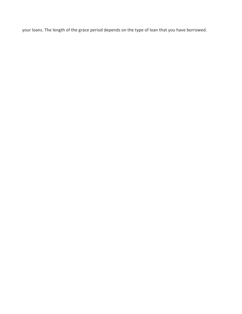your loans. The length of the grace period depends on the type of loan that you have borrowed.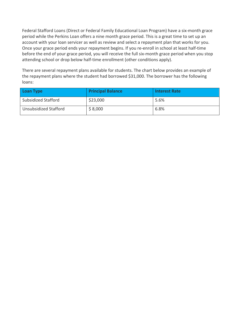Federal Stafford Loans (Direct or Federal Family Educational Loan Program) have a six-month grace period while the Perkins Loan offers a nine month grace period. This is a great time to set up an account with your loan servicer as well as review and select a repayment plan that works for you. Once your grace period ends your repayment begins. If you re-enroll in school at least half-time before the end of your grace period, you will receive the full six-month grace period when you stop attending school or drop below half-time enrollment (other conditions apply).

There are several repayment plans available for students. The chart below provides an example of the repayment plans where the student had borrowed \$31,000. The borrower has the following loans:

| <b>Loan Type</b>      | <b>Principal Balance</b> | <b>Interest Rate</b> |
|-----------------------|--------------------------|----------------------|
| Subsidized Stafford   | \$23,000                 | 5.6%                 |
| Unsubsidized Stafford | \$8,000                  | 6.8%                 |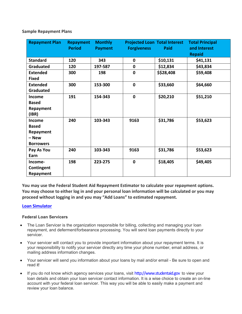**Sample Repayment Plans**

| <b>Repayment Plan</b>                                                   | <b>Repayment</b><br><b>Period</b> | <b>Monthly</b><br><b>Payment</b> | <b>Forgiveness</b> | <b>Projected Loan Total Interest</b><br>Paid | <b>Total Principal</b><br>and Interest<br><b>Repaid</b> |
|-------------------------------------------------------------------------|-----------------------------------|----------------------------------|--------------------|----------------------------------------------|---------------------------------------------------------|
| <b>Standard</b>                                                         | 120                               | 343                              | $\mathbf 0$        | \$10,131                                     | \$41,131                                                |
| <b>Graduated</b>                                                        | 120                               | 197-587                          | $\mathbf 0$        | \$12,834                                     | \$43,834                                                |
| <b>Extended</b><br><b>Fixed</b>                                         | 300                               | 198                              | $\mathbf 0$        | \$\$28,408                                   | \$59,408                                                |
| <b>Extended</b><br>Graduated                                            | 300                               | 153-300                          | $\mathbf 0$        | \$33,660                                     | \$64,660                                                |
| Income<br><b>Based</b><br>Repayment<br>(IBR)                            | 191                               | 154-343                          | $\mathbf 0$        | \$20,210                                     | \$51,210                                                |
| <b>Income</b><br><b>Based</b><br>Repayment<br>- New<br><b>Borrowers</b> | 240                               | 103-343                          | 9163               | \$31,786                                     | \$53,623                                                |
| Pay As You<br>Earn                                                      | 240                               | 103-343                          | 9163               | \$31,786                                     | \$53,623                                                |
| Income-<br>Contingent<br><b>Repayment</b>                               | 198                               | 223-275                          | $\mathbf 0$        | \$18,405                                     | \$49,405                                                |

**You may use the Federal Student Aid Repayment Estimator to calculate your repayment options. You may choose to either log in and your personal loan information will be calculated or you may proceed without logging in and you may "Add Loans" to estimated repayment.**

#### **[Loan](https://studentloans.gov/myDirectLoan/mobile/repayment/repaymentEstimator.action) [Simulator](https://studentaid.gov/loan-simulator/)**

#### **Federal Loan Servicers**

- The Loan Servicer is the organization responsible for billing, collecting and managing your loan repayment, and deferment/forbearance processing. You will send loan payments directly to your servicer.
- Your servicer will contact you to provide important information about your repayment terms. It is your responsibility to notify your servicer directly any time your phone number, email address, or mailing address information changes.
- Your servicer will send you information about your loans by mail and/or email Be sure to open and read it!
- If you do not know which agency services your loans, visit [http://www.studentaid.gov](http://www.studentaid.gov/) to view your loan details and obtain your loan servicer contact information. It is a wise choice to create an on-line account with your federal loan servicer. This way you will be able to easily make a payment and review your loan balance.